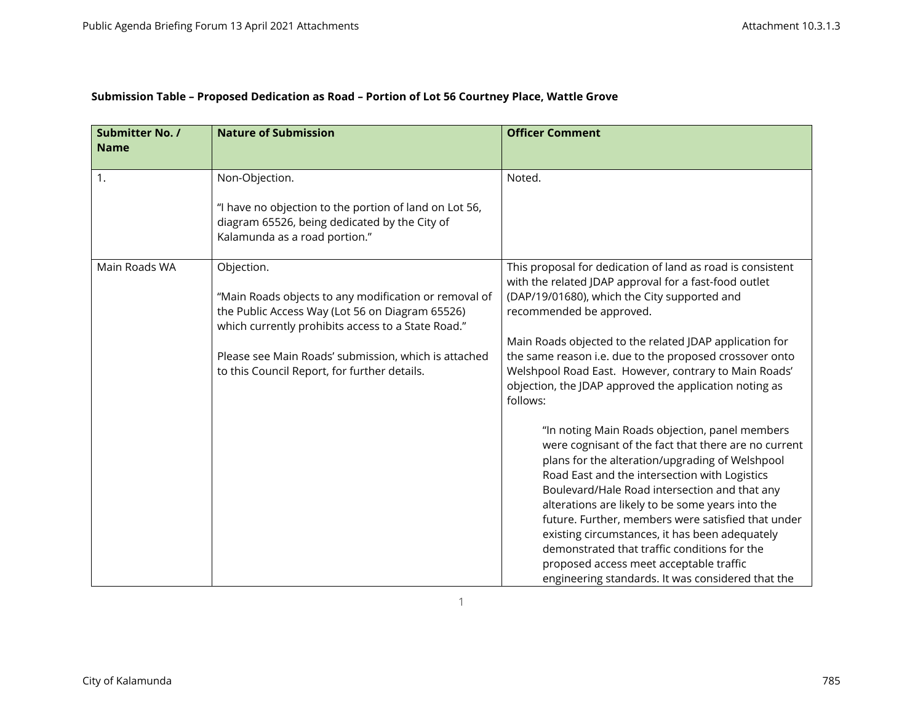| Submission Table – Proposed Dedication as Road – Portion of Lot 56 Courtney Place, Wattle Grove |  |  |
|-------------------------------------------------------------------------------------------------|--|--|
|                                                                                                 |  |  |

| <b>Submitter No. /</b><br><b>Name</b> | <b>Nature of Submission</b>                                                                                                                                                                                                                                                          | <b>Officer Comment</b>                                                                                                                                                                                                                                                                                                                                                                                                                                                                                                                                                  |
|---------------------------------------|--------------------------------------------------------------------------------------------------------------------------------------------------------------------------------------------------------------------------------------------------------------------------------------|-------------------------------------------------------------------------------------------------------------------------------------------------------------------------------------------------------------------------------------------------------------------------------------------------------------------------------------------------------------------------------------------------------------------------------------------------------------------------------------------------------------------------------------------------------------------------|
| 1.                                    | Non-Objection.<br>"I have no objection to the portion of land on Lot 56,<br>diagram 65526, being dedicated by the City of<br>Kalamunda as a road portion."                                                                                                                           | Noted.                                                                                                                                                                                                                                                                                                                                                                                                                                                                                                                                                                  |
| Main Roads WA                         | Objection.<br>"Main Roads objects to any modification or removal of<br>the Public Access Way (Lot 56 on Diagram 65526)<br>which currently prohibits access to a State Road."<br>Please see Main Roads' submission, which is attached<br>to this Council Report, for further details. | This proposal for dedication of land as road is consistent<br>with the related JDAP approval for a fast-food outlet<br>(DAP/19/01680), which the City supported and<br>recommended be approved.<br>Main Roads objected to the related JDAP application for<br>the same reason i.e. due to the proposed crossover onto<br>Welshpool Road East. However, contrary to Main Roads'<br>objection, the JDAP approved the application noting as<br>follows:                                                                                                                    |
|                                       |                                                                                                                                                                                                                                                                                      | "In noting Main Roads objection, panel members<br>were cognisant of the fact that there are no current<br>plans for the alteration/upgrading of Welshpool<br>Road East and the intersection with Logistics<br>Boulevard/Hale Road intersection and that any<br>alterations are likely to be some years into the<br>future. Further, members were satisfied that under<br>existing circumstances, it has been adequately<br>demonstrated that traffic conditions for the<br>proposed access meet acceptable traffic<br>engineering standards. It was considered that the |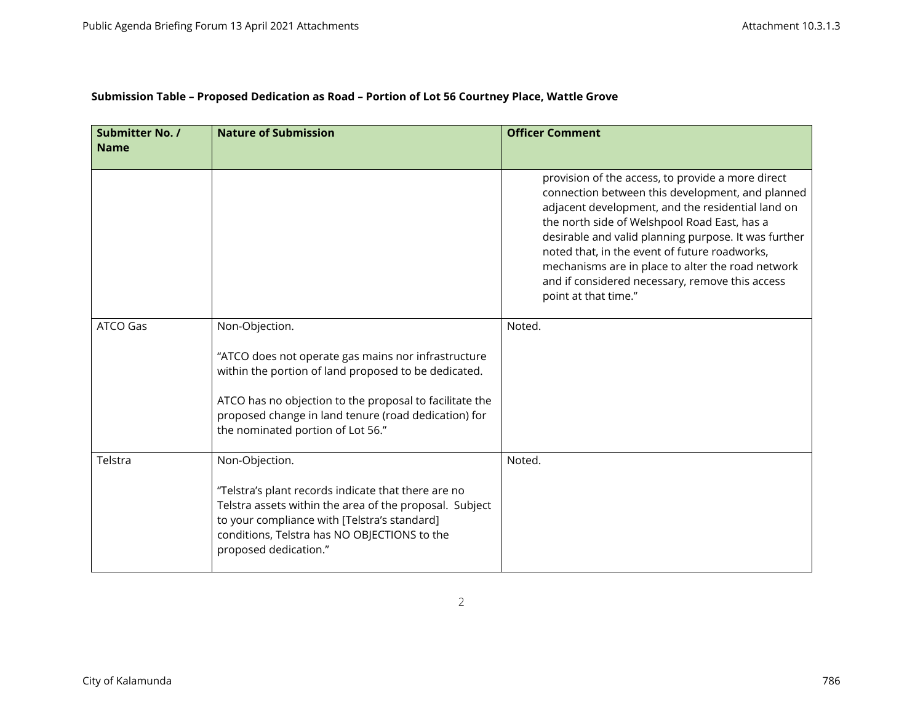|  | Submission Table - Proposed Dedication as Road - Portion of Lot 56 Courtney Place, Wattle Grove |  |
|--|-------------------------------------------------------------------------------------------------|--|
|  |                                                                                                 |  |

| <b>Submitter No. /</b><br><b>Name</b> | <b>Nature of Submission</b>                                                                                                                                                                                                                                                           | <b>Officer Comment</b>                                                                                                                                                                                                                                                                                                                                                                                                                              |
|---------------------------------------|---------------------------------------------------------------------------------------------------------------------------------------------------------------------------------------------------------------------------------------------------------------------------------------|-----------------------------------------------------------------------------------------------------------------------------------------------------------------------------------------------------------------------------------------------------------------------------------------------------------------------------------------------------------------------------------------------------------------------------------------------------|
|                                       |                                                                                                                                                                                                                                                                                       | provision of the access, to provide a more direct<br>connection between this development, and planned<br>adjacent development, and the residential land on<br>the north side of Welshpool Road East, has a<br>desirable and valid planning purpose. It was further<br>noted that, in the event of future roadworks,<br>mechanisms are in place to alter the road network<br>and if considered necessary, remove this access<br>point at that time." |
| <b>ATCO Gas</b>                       | Non-Objection.<br>"ATCO does not operate gas mains nor infrastructure<br>within the portion of land proposed to be dedicated.<br>ATCO has no objection to the proposal to facilitate the<br>proposed change in land tenure (road dedication) for<br>the nominated portion of Lot 56." | Noted.                                                                                                                                                                                                                                                                                                                                                                                                                                              |
| Telstra                               | Non-Objection.<br>"Telstra's plant records indicate that there are no<br>Telstra assets within the area of the proposal. Subject<br>to your compliance with [Telstra's standard]<br>conditions, Telstra has NO OBJECTIONS to the<br>proposed dedication."                             | Noted.                                                                                                                                                                                                                                                                                                                                                                                                                                              |